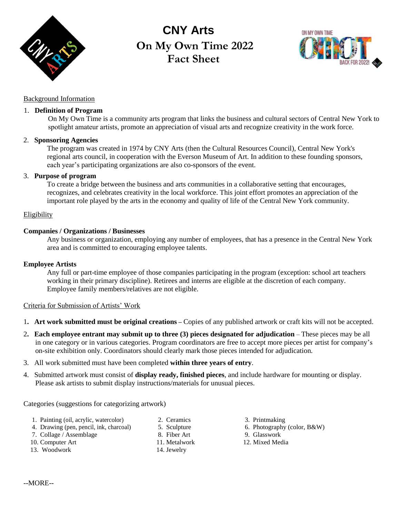

# **CNY Arts On My Own Time 2022 Fact Sheet**



## Background Information

#### 1. **Definition of Program**

On My Own Time is a community arts program that links the business and cultural sectors of Central New York to spotlight amateur artists, promote an appreciation of visual arts and recognize creativity in the work force.

#### 2. **Sponsoring Agencies**

The program was created in 1974 by CNY Arts (then the Cultural Resources Council), Central New York's regional arts council, in cooperation with the Everson Museum of Art. In addition to these founding sponsors, each year's participating organizations are also co-sponsors of the event.

### 3. **Purpose of program**

To create a bridge between the business and arts communities in a collaborative setting that encourages, recognizes, and celebrates creativity in the local workforce. This joint effort promotes an appreciation of the important role played by the arts in the economy and quality of life of the Central New York community.

#### Eligibility

## **Companies / Organizations / Businesses**

Any business or organization, employing any number of employees, that has a presence in the Central New York area and is committed to encouraging employee talents.

#### **Employee Artists**

Any full or part-time employee of those companies participating in the program (exception: school art teachers working in their primary discipline). Retirees and interns are eligible at the discretion of each company. Employee family members/relatives are not eligible.

#### Criteria for Submission of Artists' Work

- 1**. Art work submitted must be original creations –** Copies of any published artwork or craft kits will not be accepted.
- 2**. Each employee entrant may submit up to three (3) pieces designated for adjudication** These pieces may be all in one category or in various categories. Program coordinators are free to accept more pieces per artist for company's on-site exhibition only. Coordinators should clearly mark those pieces intended for adjudication.
- 3. All work submitted must have been completed **within three years of entry**.
- 4. Submitted artwork must consist of **display ready, finished pieces**, and include hardware for mounting or display. Please ask artists to submit display instructions/materials for unusual pieces.

Categories (suggestions for categorizing artwork)

- 1. Painting (oil, acrylic, watercolor) 2. Ceramics 3. Printmaking
- 4. Drawing (pen, pencil, ink, charcoal) 5. Sculpture 6. Photography (color, B&W)
- 7. Collage / Assemblage 8. Fiber Art 9. Glasswork
- 
- 
- 13. Woodwork 14. Jewelry
- 
- 
- 
- 10. Computer Art 11. Metalwork 12. Mixed Media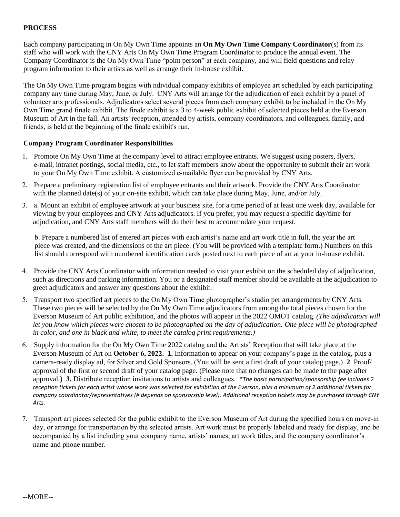#### **PROCESS**

Each company participating in On My Own Time appoints an **On My Own Time Company Coordinator**(s) from its staff who will work with the CNY Arts On My Own Time Program Coordinator to produce the annual event. The Company Coordinator is the On My Own Time "point person" at each company, and will field questions and relay program information to their artists as well as arrange their in-house exhibit.

The On My Own Time program begins with ndividual company exhibits of employee art scheduled by each participating company any time during May, June, or July. CNY Arts will arrange for the adjudication of each exhibit by a panel of volunteer arts professionals. Adjudicators select several pieces from each company exhibit to be included in the On My Own Time grand finale exhibit. The finale exhibit is a 3 to 4-week public exhibit of selected pieces held at the Everson Museum of Art in the fall. An artists' reception, attended by artists, company coordinators, and colleagues, family, and friends, is held at the beginning of the finale exhibit's run.

#### **Company Program Coordinator Responsibilities**

- 1. Promote On My Own Time at the company level to attract employee entrants. We suggest using posters, flyers, e-mail, intranet postings, social media, etc., to let staff members know about the opportunity to submit their art work to your On My Own Time exhibit. A customized e-mailable flyer can be provided by CNY Arts.
- 2. Prepare a preliminary registration list of employee entrants and their artwork. Provide the CNY Arts Coordinator with the planned date(s) of your on-site exhibit, which can take place during May, June, and/or July.
- 3. a. Mount an exhibit of employee artwork at your business site, for a time period of at least one week day, available for viewing by your employees and CNY Arts adjudicators. If you prefer, you may request a specific day/time for adjudication, and CNY Arts staff members will do their best to accommodate your request.

b. Prepare a numbered list of entered art pieces with each artist's name and art work title in full, the year the art piece was created, and the dimensions of the art piece. (You will be provided with a template form.) Numbers on this list should correspond with numbered identification cards posted next to each piece of art at your in-house exhibit.

- 4. Provide the CNY Arts Coordinator with information needed to visit your exhibit on the scheduled day of adjudication, such as directions and parking information. You or a designated staff member should be available at the adjudication to greet adjudicators and answer any questions about the exhibit.
- 5. Transport two specified art pieces to the On My Own Time photographer's studio per arrangements by CNY Arts. These two pieces will be selected by the On My Own Time adjudicators from among the total pieces chosen for the Everson Museum of Art public exhibition, and the photos will appear in the 2022 OMOT catalog*. (The adjudicators will let you know which pieces were chosen to be photographed on the day of adjudication. One piece will be photographed in color, and one in black and white, to meet the catalog print requirements.)*
- 6. Supply information for the On My Own Time 2022 catalog and the Artists' Reception that will take place at the Everson Museum of Art on **October 6, 2022. 1.** Information to appear on your company's page in the catalog, plus a camera-ready display ad, for Silver and Gold Sponsors. (You will be sent a first draft of your catalog page.) **2**. Proof/ approval of the first or second draft of your catalog page. (Please note that no changes can be made to the page after approval.) **3.** Distribute reception invitations to artists and colleagues. *\*The basic participation/sponsorship fee includes 2 reception tickets for each artist whose work was selected for exhibition at the Everson, plus a minimum of 2 additional tickets for company coordinator/representatives (# depends on sponsorship level). Additional reception tickets may be purchased through CNY Arts.*
- 7. Transport art pieces selected for the public exhibit to the Everson Museum of Art during the specified hours on move-in day, or arrange for transportation by the selected artists. Art work must be properly labeled and ready for display, and be accompanied by a list including your company name, artists' names, art work titles, and the company coordinator's name and phone number.